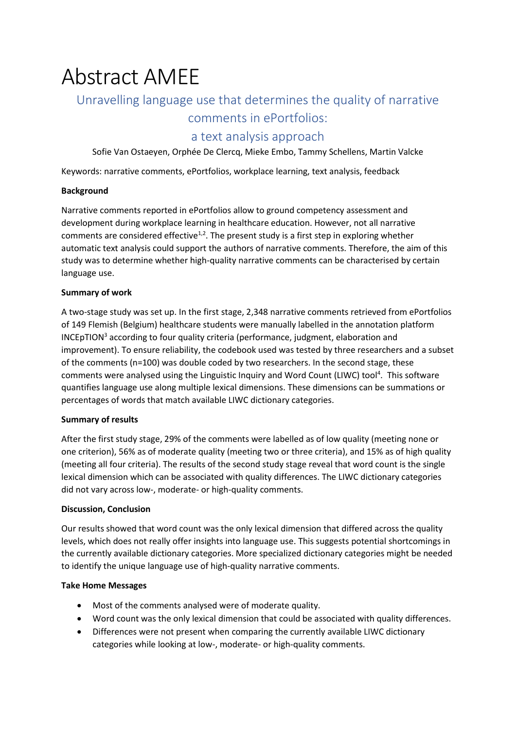# Abstract AMEE

## Unravelling language use that determines the quality of narrative

## comments in ePortfolios:

### a text analysis approach

Sofie Van Ostaeyen, Orphée De Clercq, Mieke Embo, Tammy Schellens, Martin Valcke

Keywords: narrative comments, ePortfolios, workplace learning, text analysis, feedback

#### **Background**

Narrative comments reported in ePortfolios allow to ground competency assessment and development during workplace learning in healthcare education. However, not all narrative comments are considered effective<sup>1,2</sup>. The present study is a first step in exploring whether automatic text analysis could support the authors of narrative comments. Therefore, the aim of this study was to determine whether high-quality narrative comments can be characterised by certain language use.

#### **Summary of work**

A two-stage study was set up. In the first stage, 2,348 narrative comments retrieved from ePortfolios of 149 Flemish (Belgium) healthcare students were manually labelled in the annotation platform  $INCEpTION<sup>3</sup> according to four quality criteria (performance, judgment, elaboration and$ improvement). To ensure reliability, the codebook used was tested by three researchers and a subset of the comments (n=100) was double coded by two researchers. In the second stage, these comments were analysed using the Linguistic Inquiry and Word Count (LIWC) tool<sup>4</sup>. This software quantifies language use along multiple lexical dimensions. These dimensions can be summations or percentages of words that match available LIWC dictionary categories.

#### **Summary of results**

After the first study stage, 29% of the comments were labelled as of low quality (meeting none or one criterion), 56% as of moderate quality (meeting two or three criteria), and 15% as of high quality (meeting all four criteria). The results of the second study stage reveal that word count is the single lexical dimension which can be associated with quality differences. The LIWC dictionary categories did not vary across low-, moderate- or high-quality comments.

#### **Discussion, Conclusion**

Our results showed that word count was the only lexical dimension that differed across the quality levels, which does not really offer insights into language use. This suggests potential shortcomings in the currently available dictionary categories. More specialized dictionary categories might be needed to identify the unique language use of high-quality narrative comments.

#### **Take Home Messages**

- Most of the comments analysed were of moderate quality.
- Word count was the only lexical dimension that could be associated with quality differences.
- Differences were not present when comparing the currently available LIWC dictionary categories while looking at low-, moderate- or high-quality comments.